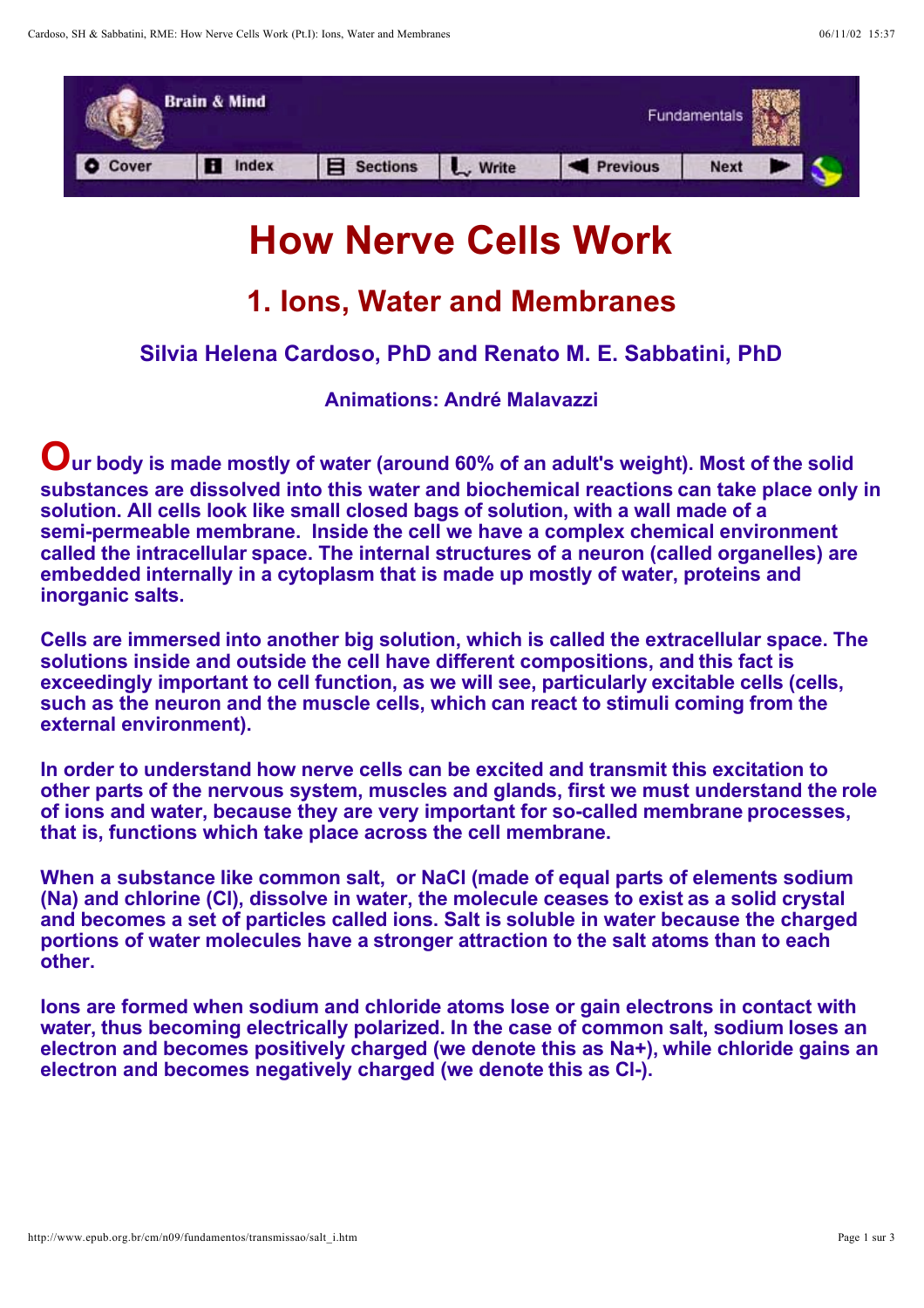

# **How Nerve Cells Work**

## **1. Ions, Water and Membranes**

### **Silvia Helena Cardoso, PhD and Renato M. E. Sabbatini, PhD**

**Animations: André Malavazzi**

**Our body is made mostly of water (around 60% of an adult's weight). Most of the solid substances are dissolved into this water and biochemical reactions can take place only in solution. All cells look like small closed bags of solution, with a wall made of a semi-permeable membrane. Inside the cell we have a complex chemical environment called the intracellular space. The internal structures of a neuron (called organelles) are embedded internally in a cytoplasm that is made up mostly of water, proteins and inorganic salts.**

**Cells are immersed into another big solution, which is called the extracellular space. The solutions inside and outside the cell have different compositions, and this fact is exceedingly important to cell function, as we will see, particularly excitable cells (cells, such as the neuron and the muscle cells, which can react to stimuli coming from the external environment).**

**In order to understand how nerve cells can be excited and transmit this excitation to other parts of the nervous system, muscles and glands, first we must understand the role of ions and water, because they are very important for so-called membrane processes, that is, functions which take place across the cell membrane.**

**When a substance like common salt, or NaCl (made of equal parts of elements sodium (Na) and chlorine (Cl), dissolve in water, the molecule ceases to exist as a solid crystal and becomes a set of particles called ions. Salt is soluble in water because the charged portions of water molecules have a stronger attraction to the salt atoms than to each other.**

**Ions are formed when sodium and chloride atoms lose or gain electrons in contact with water, thus becoming electrically polarized. In the case of common salt, sodium loses an electron and becomes positively charged (we denote this as Na+), while chloride gains an electron and becomes negatively charged (we denote this as Cl-).**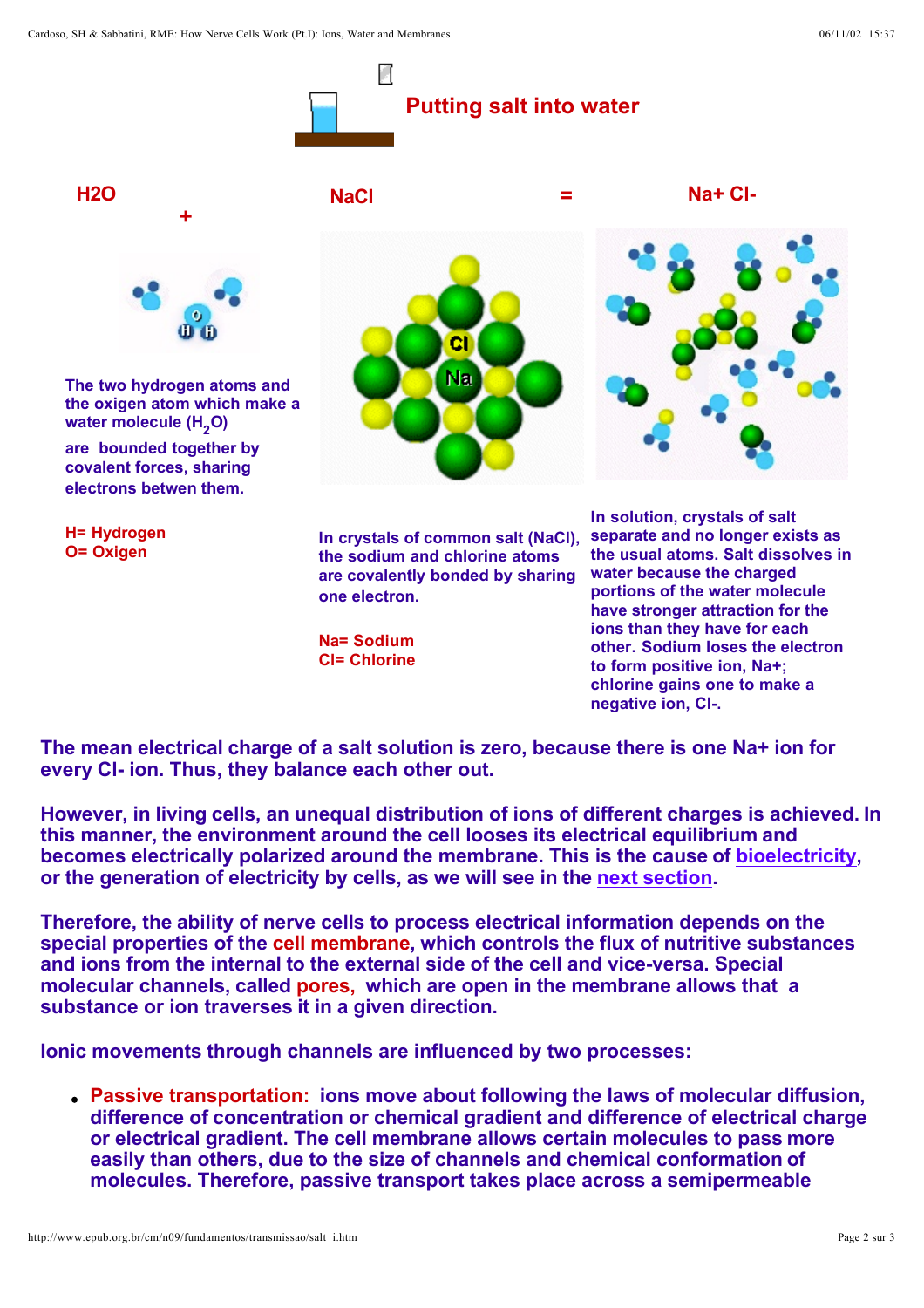Cardoso, SH & Sabbatini, RME: How Nerve Cells Work (Pt.I): Ions, Water and Membranes 06/11/02 15:37





**Na= Sodium Cl= Chlorine** **ions than they have for each other. Sodium loses the electron to form positive ion, Na+; chlorine gains one to make a negative ion, Cl-.** 

**The mean electrical charge of a salt solution is zero, because there is one Na+ ion for every Cl- ion. Thus, they balance each other out.**

**However, in living cells, an unequal distribution of ions of different charges is achieved. In this manner, the environment around the cell looses its electrical equilibrium and**  becomes electrically polarized around the membrane. This is the cause of **bioelectricity**, or the generation of electricity by cells, as we will see in the next section.

**Therefore, the ability of nerve cells to process electrical information depends on the special properties of the cell membrane, which controls the flux of nutritive substances and ions from the internal to the external side of the cell and vice-versa. Special molecular channels, called pores, which are open in the membrane allows that a substance or ion traverses it in a given direction.**

**Ionic movements through channels are influenced by two processes:**

**Passive transportation: ions move about following the laws of molecular diffusion, difference of concentration or chemical gradient and difference of electrical charge or electrical gradient. The cell membrane allows certain molecules to pass more easily than others, due to the size of channels and chemical conformation of molecules. Therefore, passive transport takes place across a semipermeable**